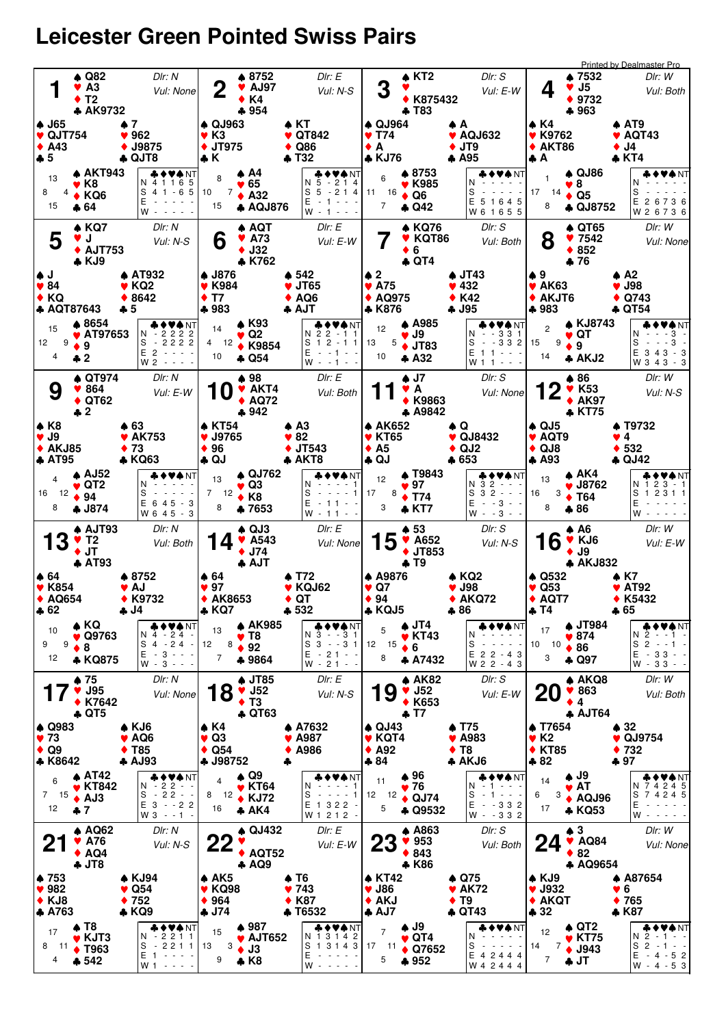## **Leicester Green Pointed Swiss Pairs**

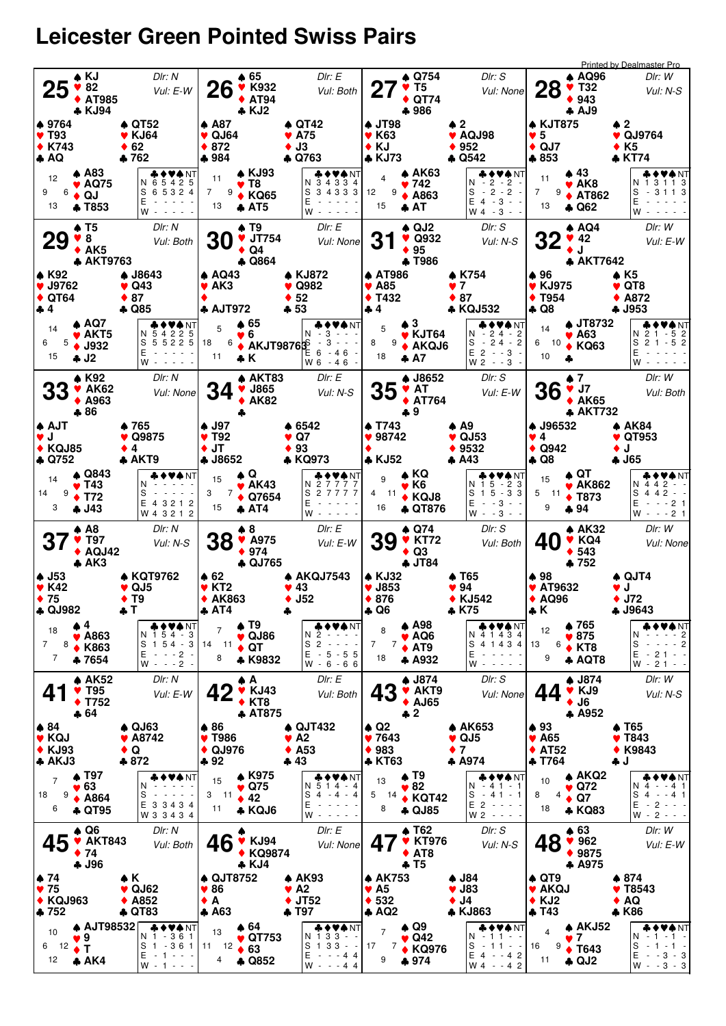## **Leicester Green Pointed Swiss Pairs**